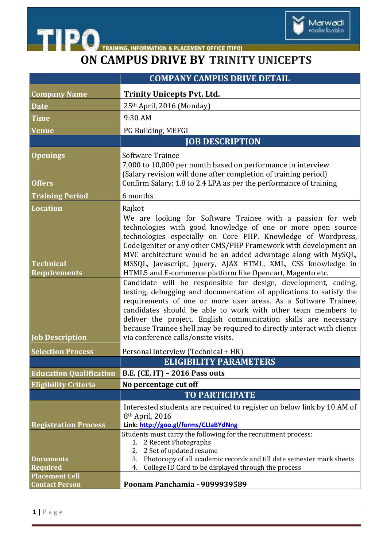

## **ON CAMPUS DRIVE BY TRINITY UNICEPTS**

|                                         | <b>COMPANY CAMPUS DRIVE DETAIL</b>                                                                                                                                                                                                                                                                                                                                                                                                                           |
|-----------------------------------------|--------------------------------------------------------------------------------------------------------------------------------------------------------------------------------------------------------------------------------------------------------------------------------------------------------------------------------------------------------------------------------------------------------------------------------------------------------------|
| <b>Company Name</b>                     | <b>Trinity Unicepts Pvt. Ltd.</b>                                                                                                                                                                                                                                                                                                                                                                                                                            |
| <b>Date</b>                             | 25th April, 2016 (Monday)                                                                                                                                                                                                                                                                                                                                                                                                                                    |
| <b>Time</b>                             | 9:30 AM                                                                                                                                                                                                                                                                                                                                                                                                                                                      |
| <b>Venue</b>                            | PG Building, MEFGI                                                                                                                                                                                                                                                                                                                                                                                                                                           |
|                                         | <b>JOB DESCRIPTION</b>                                                                                                                                                                                                                                                                                                                                                                                                                                       |
| <b>Openings</b>                         | Software Trainee                                                                                                                                                                                                                                                                                                                                                                                                                                             |
|                                         | 7,000 to 10,000 per month based on performance in interview                                                                                                                                                                                                                                                                                                                                                                                                  |
| <b>Offers</b>                           | (Salary revision will done after completion of training period)<br>Confirm Salary: 1.8 to 2.4 LPA as per the performance of training                                                                                                                                                                                                                                                                                                                         |
|                                         |                                                                                                                                                                                                                                                                                                                                                                                                                                                              |
| <b>Training Period</b>                  | 6 months                                                                                                                                                                                                                                                                                                                                                                                                                                                     |
| <b>Location</b>                         | Rajkot<br>We are looking for Software Trainee with a passion for web                                                                                                                                                                                                                                                                                                                                                                                         |
| <b>Technical</b><br><b>Requirements</b> | technologies with good knowledge of one or more open source<br>technologies especially on Core PHP. Knowledge of Wordpress,<br>CodeIgeniter or any other CMS/PHP Framework with development on<br>MVC architecture would be an added advantage along with MySQL,<br>MSSQL, Javascript, Jquery, AJAX HTML, XML, CSS knowledge in<br>HTML5 and E-commerce platform like Opencart, Magento etc.                                                                 |
| <b>Job Description</b>                  | Candidate will be responsible for design, development, coding,<br>testing, debugging and documentation of applications to satisfy the<br>requirements of one or more user areas. As a Software Trainee,<br>candidates should be able to work with other team members to<br>deliver the project. English communication skills are necessary<br>because Trainee shell may be required to directly interact with clients<br>via conference calls/onsite visits. |
| <b>Selection Process</b>                | Personal Interview (Technical + HR)                                                                                                                                                                                                                                                                                                                                                                                                                          |
|                                         | ELIGIBILITY PARAMETERS                                                                                                                                                                                                                                                                                                                                                                                                                                       |
| <b>Education Qualification</b>          | <b>B.E. (CE, IT) - 2016 Pass outs</b>                                                                                                                                                                                                                                                                                                                                                                                                                        |
| <b>Eligibility Criteria</b>             | No percentage cut off                                                                                                                                                                                                                                                                                                                                                                                                                                        |
|                                         | <b>TO PARTICIPATE</b>                                                                                                                                                                                                                                                                                                                                                                                                                                        |
| <b>Registration Process</b>             | Interested students are required to register on below link by 10 AM of<br>8 <sup>th</sup> April, 2016<br>Link: http://goo.gl/forms/CLIaBYdNng                                                                                                                                                                                                                                                                                                                |
| <b>Documents</b><br>Required            | Students must carry the following for the recruitment process:<br>1. 2 Recent Photographs<br>2 Set of updated resume<br>2.<br>Photocopy of all academic records and till date semester mark sheets<br>3.<br>College ID Card to be displayed through the process<br>4.                                                                                                                                                                                        |
| <b>Placement Cell</b>                   |                                                                                                                                                                                                                                                                                                                                                                                                                                                              |
| <b>Contact Person</b>                   | Poonam Panchamia - 9099939589                                                                                                                                                                                                                                                                                                                                                                                                                                |